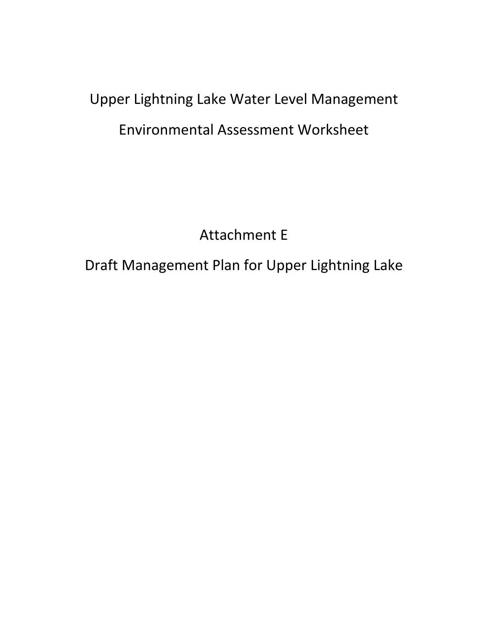# Upper Lightning Lake Water Level Management Environmental Assessment Worksheet

Attachment E

Draft Management Plan for Upper Lightning Lake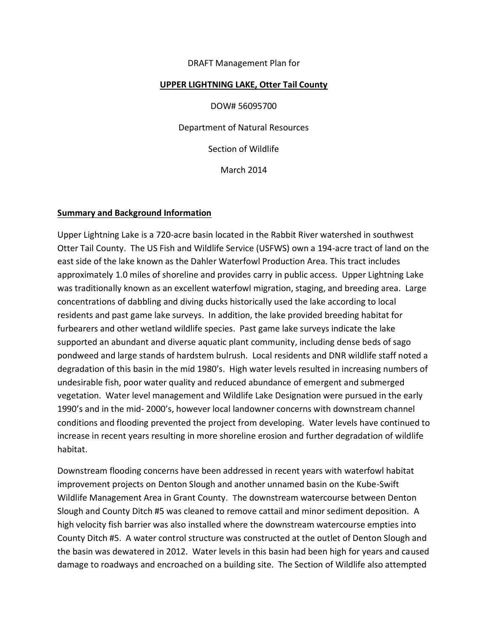#### DRAFT Management Plan for

#### **UPPER LIGHTNING LAKE, Otter Tail County**

DOW# 56095700 Department of Natural Resources Section of Wildlife March 2014

#### **Summary and Background Information**

Upper Lightning Lake is a 720-acre basin located in the Rabbit River watershed in southwest Otter Tail County. The US Fish and Wildlife Service (USFWS) own a 194-acre tract of land on the east side of the lake known as the Dahler Waterfowl Production Area. This tract includes approximately 1.0 miles of shoreline and provides carry in public access. Upper Lightning Lake was traditionally known as an excellent waterfowl migration, staging, and breeding area. Large concentrations of dabbling and diving ducks historically used the lake according to local residents and past game lake surveys. In addition, the lake provided breeding habitat for furbearers and other wetland wildlife species. Past game lake surveys indicate the lake supported an abundant and diverse aquatic plant community, including dense beds of sago pondweed and large stands of hardstem bulrush. Local residents and DNR wildlife staff noted a degradation of this basin in the mid 1980's. High water levels resulted in increasing numbers of undesirable fish, poor water quality and reduced abundance of emergent and submerged vegetation. Water level management and Wildlife Lake Designation were pursued in the early 1990's and in the mid- 2000's, however local landowner concerns with downstream channel conditions and flooding prevented the project from developing. Water levels have continued to increase in recent years resulting in more shoreline erosion and further degradation of wildlife habitat.

Downstream flooding concerns have been addressed in recent years with waterfowl habitat improvement projects on Denton Slough and another unnamed basin on the Kube-Swift Wildlife Management Area in Grant County. The downstream watercourse between Denton Slough and County Ditch #5 was cleaned to remove cattail and minor sediment deposition. A high velocity fish barrier was also installed where the downstream watercourse empties into County Ditch #5. A water control structure was constructed at the outlet of Denton Slough and the basin was dewatered in 2012. Water levels in this basin had been high for years and caused damage to roadways and encroached on a building site. The Section of Wildlife also attempted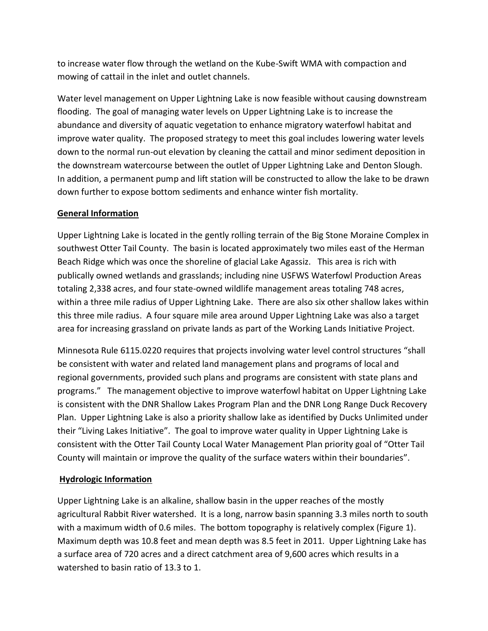to increase water flow through the wetland on the Kube-Swift WMA with compaction and mowing of cattail in the inlet and outlet channels.

Water level management on Upper Lightning Lake is now feasible without causing downstream flooding. The goal of managing water levels on Upper Lightning Lake is to increase the abundance and diversity of aquatic vegetation to enhance migratory waterfowl habitat and improve water quality. The proposed strategy to meet this goal includes lowering water levels down to the normal run-out elevation by cleaning the cattail and minor sediment deposition in the downstream watercourse between the outlet of Upper Lightning Lake and Denton Slough. In addition, a permanent pump and lift station will be constructed to allow the lake to be drawn down further to expose bottom sediments and enhance winter fish mortality.

## **General Information**

Upper Lightning Lake is located in the gently rolling terrain of the Big Stone Moraine Complex in southwest Otter Tail County. The basin is located approximately two miles east of the Herman Beach Ridge which was once the shoreline of glacial Lake Agassiz. This area is rich with publically owned wetlands and grasslands; including nine USFWS Waterfowl Production Areas totaling 2,338 acres, and four state-owned wildlife management areas totaling 748 acres, within a three mile radius of Upper Lightning Lake. There are also six other shallow lakes within this three mile radius. A four square mile area around Upper Lightning Lake was also a target area for increasing grassland on private lands as part of the Working Lands Initiative Project.

Minnesota Rule 6115.0220 requires that projects involving water level control structures "shall be consistent with water and related land management plans and programs of local and regional governments, provided such plans and programs are consistent with state plans and programs." The management objective to improve waterfowl habitat on Upper Lightning Lake is consistent with the DNR Shallow Lakes Program Plan and the DNR Long Range Duck Recovery Plan. Upper Lightning Lake is also a priority shallow lake as identified by Ducks Unlimited under their "Living Lakes Initiative". The goal to improve water quality in Upper Lightning Lake is consistent with the Otter Tail County Local Water Management Plan priority goal of "Otter Tail County will maintain or improve the quality of the surface waters within their boundaries".

## **Hydrologic Information**

Upper Lightning Lake is an alkaline, shallow basin in the upper reaches of the mostly agricultural Rabbit River watershed. It is a long, narrow basin spanning 3.3 miles north to south with a maximum width of 0.6 miles. The bottom topography is relatively complex (Figure 1). Maximum depth was 10.8 feet and mean depth was 8.5 feet in 2011. Upper Lightning Lake has a surface area of 720 acres and a direct catchment area of 9,600 acres which results in a watershed to basin ratio of 13.3 to 1.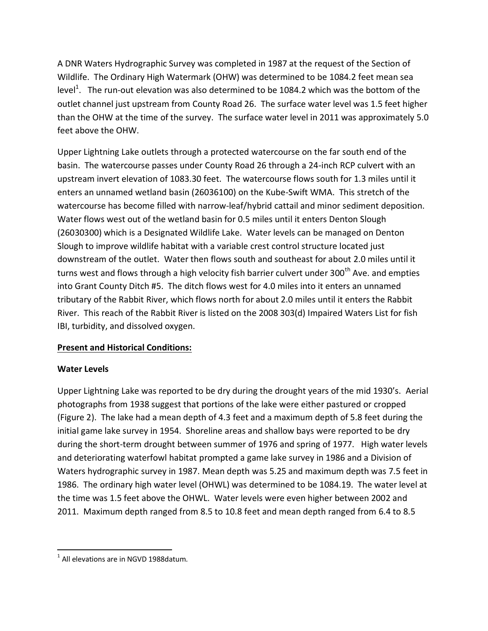A DNR Waters Hydrographic Survey was completed in 1987 at the request of the Section of Wildlife. The Ordinary High Watermark (OHW) was determined to be 1084.2 feet mean sea level<sup>1</sup>. The run-out elevation was also determined to be 1084.2 which was the bottom of the outlet channel just upstream from County Road 26. The surface water level was 1.5 feet higher than the OHW at the time of the survey. The surface water level in 2011 was approximately 5.0 feet above the OHW.

Upper Lightning Lake outlets through a protected watercourse on the far south end of the basin. The watercourse passes under County Road 26 through a 24-inch RCP culvert with an upstream invert elevation of 1083.30 feet. The watercourse flows south for 1.3 miles until it enters an unnamed wetland basin (26036100) on the Kube-Swift WMA. This stretch of the watercourse has become filled with narrow-leaf/hybrid cattail and minor sediment deposition. Water flows west out of the wetland basin for 0.5 miles until it enters Denton Slough (26030300) which is a Designated Wildlife Lake. Water levels can be managed on Denton Slough to improve wildlife habitat with a variable crest control structure located just downstream of the outlet. Water then flows south and southeast for about 2.0 miles until it turns west and flows through a high velocity fish barrier culvert under 300<sup>th</sup> Ave. and empties into Grant County Ditch #5. The ditch flows west for 4.0 miles into it enters an unnamed tributary of the Rabbit River, which flows north for about 2.0 miles until it enters the Rabbit River. This reach of the Rabbit River is listed on the 2008 303(d) Impaired Waters List for fish IBI, turbidity, and dissolved oxygen.

# **Present and Historical Conditions:**

## **Water Levels**

Upper Lightning Lake was reported to be dry during the drought years of the mid 1930's. Aerial photographs from 1938 suggest that portions of the lake were either pastured or cropped (Figure 2). The lake had a mean depth of 4.3 feet and a maximum depth of 5.8 feet during the initial game lake survey in 1954. Shoreline areas and shallow bays were reported to be dry during the short-term drought between summer of 1976 and spring of 1977. High water levels and deteriorating waterfowl habitat prompted a game lake survey in 1986 and a Division of Waters hydrographic survey in 1987. Mean depth was 5.25 and maximum depth was 7.5 feet in 1986. The ordinary high water level (OHWL) was determined to be 1084.19. The water level at the time was 1.5 feet above the OHWL. Water levels were even higher between 2002 and 2011. Maximum depth ranged from 8.5 to 10.8 feet and mean depth ranged from 6.4 to 8.5

 $\overline{a}$  $<sup>1</sup>$  All elevations are in NGVD 1988datum.</sup>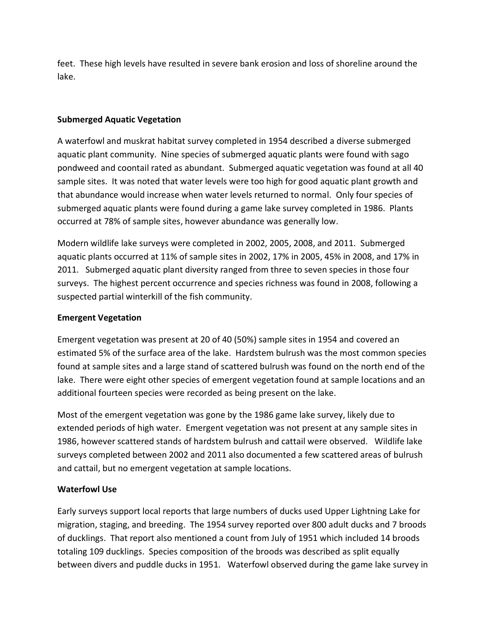feet. These high levels have resulted in severe bank erosion and loss of shoreline around the lake.

#### **Submerged Aquatic Vegetation**

A waterfowl and muskrat habitat survey completed in 1954 described a diverse submerged aquatic plant community. Nine species of submerged aquatic plants were found with sago pondweed and coontail rated as abundant. Submerged aquatic vegetation was found at all 40 sample sites. It was noted that water levels were too high for good aquatic plant growth and that abundance would increase when water levels returned to normal. Only four species of submerged aquatic plants were found during a game lake survey completed in 1986. Plants occurred at 78% of sample sites, however abundance was generally low.

Modern wildlife lake surveys were completed in 2002, 2005, 2008, and 2011. Submerged aquatic plants occurred at 11% of sample sites in 2002, 17% in 2005, 45% in 2008, and 17% in 2011. Submerged aquatic plant diversity ranged from three to seven species in those four surveys. The highest percent occurrence and species richness was found in 2008, following a suspected partial winterkill of the fish community.

#### **Emergent Vegetation**

Emergent vegetation was present at 20 of 40 (50%) sample sites in 1954 and covered an estimated 5% of the surface area of the lake. Hardstem bulrush was the most common species found at sample sites and a large stand of scattered bulrush was found on the north end of the lake. There were eight other species of emergent vegetation found at sample locations and an additional fourteen species were recorded as being present on the lake.

Most of the emergent vegetation was gone by the 1986 game lake survey, likely due to extended periods of high water. Emergent vegetation was not present at any sample sites in 1986, however scattered stands of hardstem bulrush and cattail were observed. Wildlife lake surveys completed between 2002 and 2011 also documented a few scattered areas of bulrush and cattail, but no emergent vegetation at sample locations.

#### **Waterfowl Use**

Early surveys support local reports that large numbers of ducks used Upper Lightning Lake for migration, staging, and breeding. The 1954 survey reported over 800 adult ducks and 7 broods of ducklings. That report also mentioned a count from July of 1951 which included 14 broods totaling 109 ducklings. Species composition of the broods was described as split equally between divers and puddle ducks in 1951. Waterfowl observed during the game lake survey in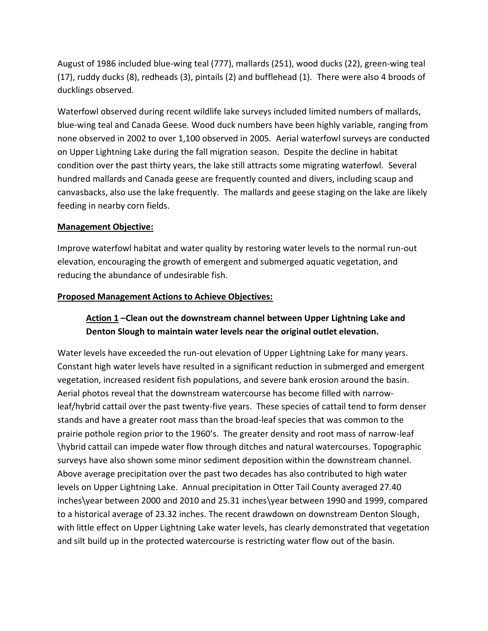August of 1986 included blue-wing teal (777), mallards (251), wood ducks (22), green-wing teal (17), ruddy ducks (8), redheads (3), pintails (2) and bufflehead (1). There were also 4 broods of ducklings observed.

Waterfowl observed during recent wildlife lake surveys included limited numbers of mallards, blue-wing teal and Canada Geese. Wood duck numbers have been highly variable, ranging from none observed in 2002 to over 1,100 observed in 2005. Aerial waterfowl surveys are conducted on Upper Lightning Lake during the fall migration season. Despite the decline in habitat condition over the past thirty years, the lake still attracts some migrating waterfowl. Several hundred mallards and Canada geese are frequently counted and divers, including scaup and canvasbacks, also use the lake frequently. The mallards and geese staging on the lake are likely feeding in nearby corn fields.

#### **Management Objective:**

Improve waterfowl habitat and water quality by restoring water levels to the normal run-out elevation, encouraging the growth of emergent and submerged aquatic vegetation, and reducing the abundance of undesirable fish.

#### **Proposed Management Actions to Achieve Objectives:**

# **Action 1 –Clean out the downstream channel between Upper Lightning Lake and Denton Slough to maintain water levels near the original outlet elevation.**

Water levels have exceeded the run-out elevation of Upper Lightning Lake for many years. Constant high water levels have resulted in a significant reduction in submerged and emergent vegetation, increased resident fish populations, and severe bank erosion around the basin. Aerial photos reveal that the downstream watercourse has become filled with narrowleaf/hybrid cattail over the past twenty-five years. These species of cattail tend to form denser stands and have a greater root mass than the broad-leaf species that was common to the prairie pothole region prior to the 1960's. The greater density and root mass of narrow-leaf \hybrid cattail can impede water flow through ditches and natural watercourses. Topographic surveys have also shown some minor sediment deposition within the downstream channel. Above average precipitation over the past two decades has also contributed to high water levels on Upper Lightning Lake. Annual precipitation in Otter Tail County averaged 27.40 inches\year between 2000 and 2010 and 25.31 inches\year between 1990 and 1999, compared to a historical average of 23.32 inches. The recent drawdown on downstream Denton Slough, with little effect on Upper Lightning Lake water levels, has clearly demonstrated that vegetation and silt build up in the protected watercourse is restricting water flow out of the basin.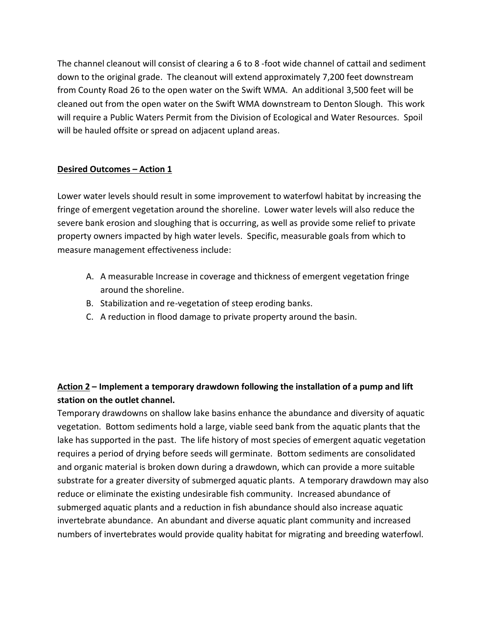The channel cleanout will consist of clearing a 6 to 8 -foot wide channel of cattail and sediment down to the original grade. The cleanout will extend approximately 7,200 feet downstream from County Road 26 to the open water on the Swift WMA. An additional 3,500 feet will be cleaned out from the open water on the Swift WMA downstream to Denton Slough. This work will require a Public Waters Permit from the Division of Ecological and Water Resources. Spoil will be hauled offsite or spread on adjacent upland areas.

## **Desired Outcomes – Action 1**

Lower water levels should result in some improvement to waterfowl habitat by increasing the fringe of emergent vegetation around the shoreline. Lower water levels will also reduce the severe bank erosion and sloughing that is occurring, as well as provide some relief to private property owners impacted by high water levels. Specific, measurable goals from which to measure management effectiveness include:

- A. A measurable Increase in coverage and thickness of emergent vegetation fringe around the shoreline.
- B. Stabilization and re-vegetation of steep eroding banks.
- C. A reduction in flood damage to private property around the basin.

# **Action 2 – Implement a temporary drawdown following the installation of a pump and lift station on the outlet channel.**

Temporary drawdowns on shallow lake basins enhance the abundance and diversity of aquatic vegetation. Bottom sediments hold a large, viable seed bank from the aquatic plants that the lake has supported in the past. The life history of most species of emergent aquatic vegetation requires a period of drying before seeds will germinate. Bottom sediments are consolidated and organic material is broken down during a drawdown, which can provide a more suitable substrate for a greater diversity of submerged aquatic plants. A temporary drawdown may also reduce or eliminate the existing undesirable fish community. Increased abundance of submerged aquatic plants and a reduction in fish abundance should also increase aquatic invertebrate abundance. An abundant and diverse aquatic plant community and increased numbers of invertebrates would provide quality habitat for migrating and breeding waterfowl.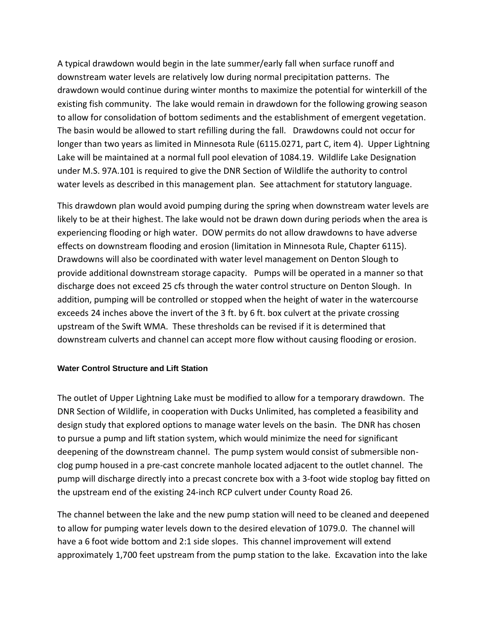A typical drawdown would begin in the late summer/early fall when surface runoff and downstream water levels are relatively low during normal precipitation patterns. The drawdown would continue during winter months to maximize the potential for winterkill of the existing fish community. The lake would remain in drawdown for the following growing season to allow for consolidation of bottom sediments and the establishment of emergent vegetation. The basin would be allowed to start refilling during the fall. Drawdowns could not occur for longer than two years as limited in Minnesota Rule (6115.0271, part C, item 4). Upper Lightning Lake will be maintained at a normal full pool elevation of 1084.19. Wildlife Lake Designation under M.S. 97A.101 is required to give the DNR Section of Wildlife the authority to control water levels as described in this management plan. See attachment for statutory language.

This drawdown plan would avoid pumping during the spring when downstream water levels are likely to be at their highest. The lake would not be drawn down during periods when the area is experiencing flooding or high water. DOW permits do not allow drawdowns to have adverse effects on downstream flooding and erosion (limitation in Minnesota Rule, Chapter 6115). Drawdowns will also be coordinated with water level management on Denton Slough to provide additional downstream storage capacity. Pumps will be operated in a manner so that discharge does not exceed 25 cfs through the water control structure on Denton Slough. In addition, pumping will be controlled or stopped when the height of water in the watercourse exceeds 24 inches above the invert of the 3 ft. by 6 ft. box culvert at the private crossing upstream of the Swift WMA. These thresholds can be revised if it is determined that downstream culverts and channel can accept more flow without causing flooding or erosion.

#### **Water Control Structure and Lift Station**

The outlet of Upper Lightning Lake must be modified to allow for a temporary drawdown. The DNR Section of Wildlife, in cooperation with Ducks Unlimited, has completed a feasibility and design study that explored options to manage water levels on the basin. The DNR has chosen to pursue a pump and lift station system, which would minimize the need for significant deepening of the downstream channel. The pump system would consist of submersible nonclog pump housed in a pre-cast concrete manhole located adjacent to the outlet channel. The pump will discharge directly into a precast concrete box with a 3-foot wide stoplog bay fitted on the upstream end of the existing 24-inch RCP culvert under County Road 26.

The channel between the lake and the new pump station will need to be cleaned and deepened to allow for pumping water levels down to the desired elevation of 1079.0. The channel will have a 6 foot wide bottom and 2:1 side slopes. This channel improvement will extend approximately 1,700 feet upstream from the pump station to the lake. Excavation into the lake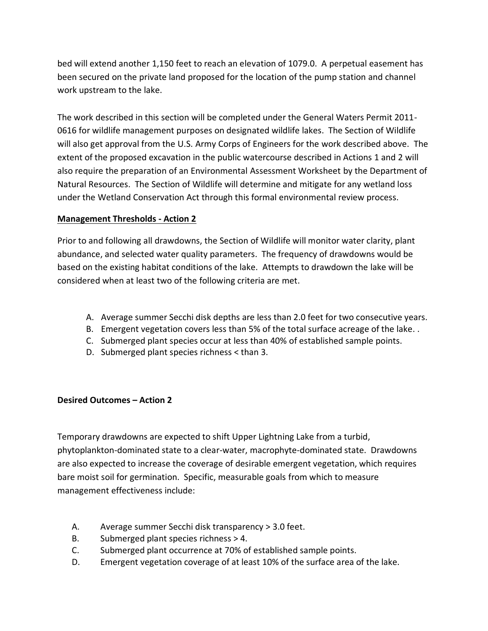bed will extend another 1,150 feet to reach an elevation of 1079.0. A perpetual easement has been secured on the private land proposed for the location of the pump station and channel work upstream to the lake.

The work described in this section will be completed under the General Waters Permit 2011- 0616 for wildlife management purposes on designated wildlife lakes. The Section of Wildlife will also get approval from the U.S. Army Corps of Engineers for the work described above. The extent of the proposed excavation in the public watercourse described in Actions 1 and 2 will also require the preparation of an Environmental Assessment Worksheet by the Department of Natural Resources. The Section of Wildlife will determine and mitigate for any wetland loss under the Wetland Conservation Act through this formal environmental review process.

## **Management Thresholds - Action 2**

Prior to and following all drawdowns, the Section of Wildlife will monitor water clarity, plant abundance, and selected water quality parameters. The frequency of drawdowns would be based on the existing habitat conditions of the lake. Attempts to drawdown the lake will be considered when at least two of the following criteria are met.

- A. Average summer Secchi disk depths are less than 2.0 feet for two consecutive years.
- B. Emergent vegetation covers less than 5% of the total surface acreage of the lake. .
- C. Submerged plant species occur at less than 40% of established sample points.
- D. Submerged plant species richness < than 3.

## **Desired Outcomes – Action 2**

Temporary drawdowns are expected to shift Upper Lightning Lake from a turbid, phytoplankton-dominated state to a clear-water, macrophyte-dominated state. Drawdowns are also expected to increase the coverage of desirable emergent vegetation, which requires bare moist soil for germination. Specific, measurable goals from which to measure management effectiveness include:

- A. Average summer Secchi disk transparency > 3.0 feet.
- B. Submerged plant species richness > 4.
- C. Submerged plant occurrence at 70% of established sample points.
- D. Emergent vegetation coverage of at least 10% of the surface area of the lake.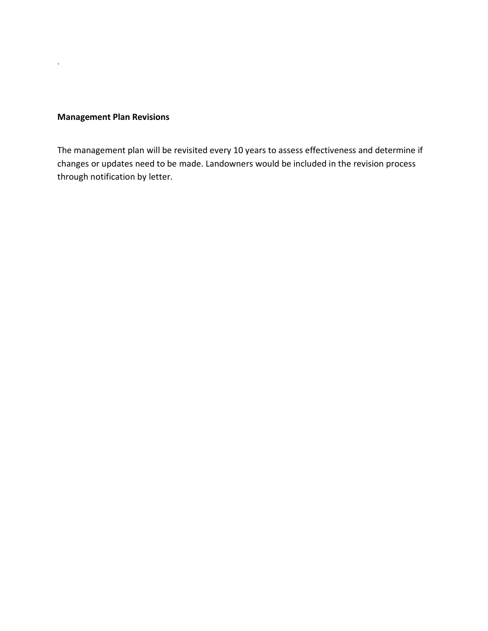## **Management Plan Revisions**

.

The management plan will be revisited every 10 years to assess effectiveness and determine if changes or updates need to be made. Landowners would be included in the revision process through notification by letter.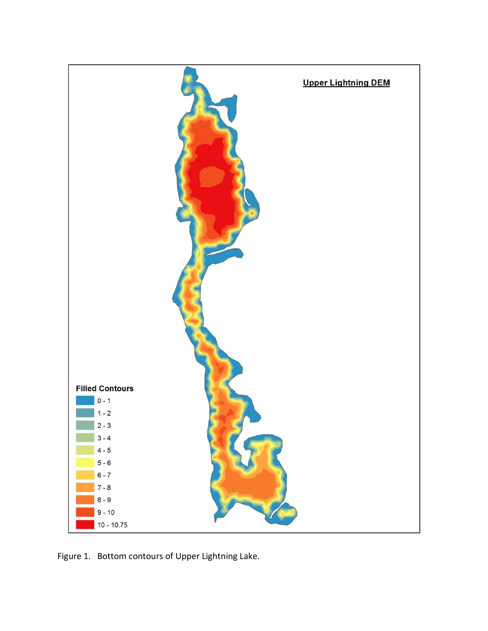

Figure 1. Bottom contours of Upper Lightning Lake.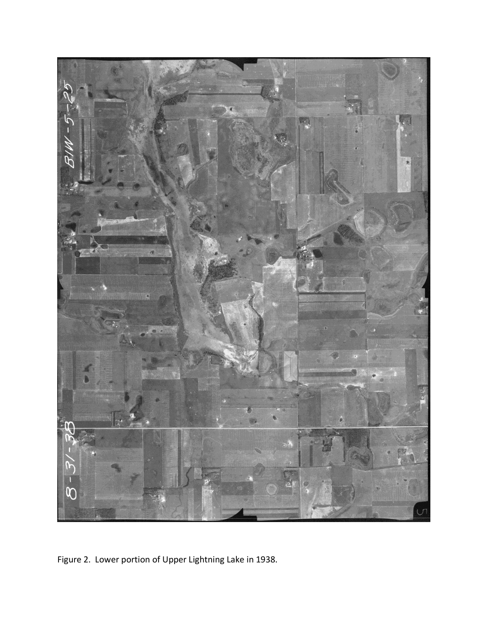

Figure 2. Lower portion of Upper Lightning Lake in 1938.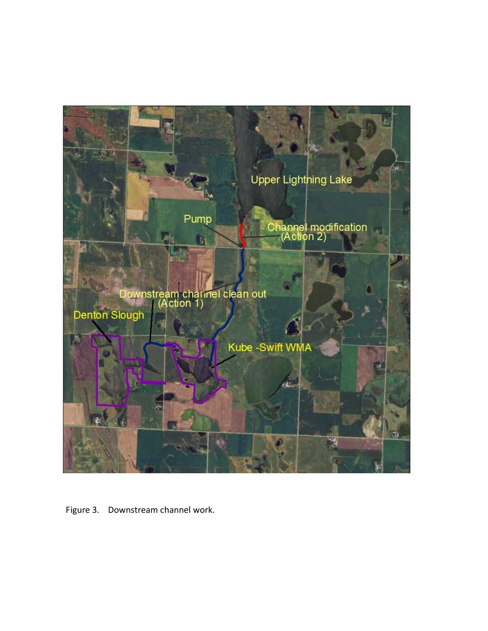

Figure 3. Downstream channel work.